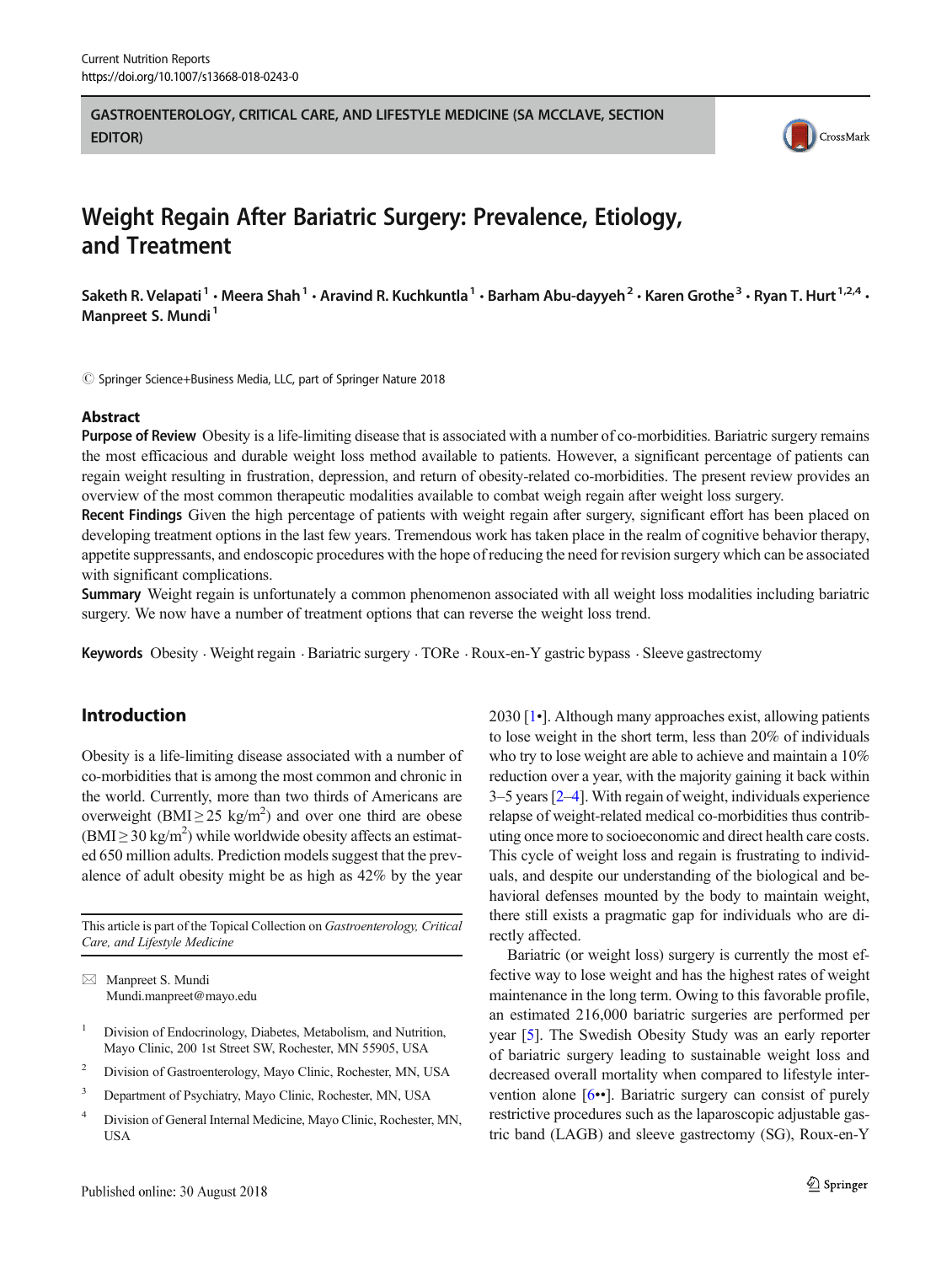GASTROENTEROLOGY, CRITICAL CARE, AND LIFESTYLE MEDICINE (SA MCCLAVE, SECTION EDITOR)



# Weight Regain After Bariatric Surgery: Prevalence, Etiology, and Treatment

Saketh R. Velapati<sup>1</sup> • Meera Shah<sup>1</sup> • Aravind R. Kuchkuntla<sup>1</sup> • Barham Abu-dayyeh<sup>2</sup> • Karen Grothe<sup>3</sup> • Ryan T. Hurt<sup>1,2,4</sup> • Manpreet S. Mundi<sup>1</sup>

© Springer Science+Business Media, LLC, part of Springer Nature 2018

#### Abstract

Purpose of Review Obesity is a life-limiting disease that is associated with a number of co-morbidities. Bariatric surgery remains the most efficacious and durable weight loss method available to patients. However, a significant percentage of patients can regain weight resulting in frustration, depression, and return of obesity-related co-morbidities. The present review provides an overview of the most common therapeutic modalities available to combat weigh regain after weight loss surgery.

Recent Findings Given the high percentage of patients with weight regain after surgery, significant effort has been placed on developing treatment options in the last few years. Tremendous work has taken place in the realm of cognitive behavior therapy, appetite suppressants, and endoscopic procedures with the hope of reducing the need for revision surgery which can be associated with significant complications.

Summary Weight regain is unfortunately a common phenomenon associated with all weight loss modalities including bariatric surgery. We now have a number of treatment options that can reverse the weight loss trend.

Keywords Obesity · Weight regain · Bariatric surgery · TORe · Roux-en-Y gastric bypass · Sleeve gastrectomy

## Introduction

Obesity is a life-limiting disease associated with a number of co-morbidities that is among the most common and chronic in the world. Currently, more than two thirds of Americans are overweight (BMI $\geq$ 25 kg/m<sup>2</sup>) and over one third are obese  $(BMI \ge 30 \text{ kg/m}^2)$  while worldwide obesity affects an estimated 650 million adults. Prediction models suggest that the prevalence of adult obesity might be as high as 42% by the year

This article is part of the Topical Collection on Gastroenterology, Critical Care, and Lifestyle Medicine

 $\boxtimes$  Manpreet S. Mundi [Mundi.manpreet@mayo.edu](mailto:Mundi.manpreet@mayo.edu)

- <sup>1</sup> Division of Endocrinology, Diabetes, Metabolism, and Nutrition, Mayo Clinic, 200 1st Street SW, Rochester, MN 55905, USA
- <sup>2</sup> Division of Gastroenterology, Mayo Clinic, Rochester, MN, USA
- <sup>3</sup> Department of Psychiatry, Mayo Clinic, Rochester, MN, USA
- <sup>4</sup> Division of General Internal Medicine, Mayo Clinic, Rochester, MN, USA

2030 [\[1](#page-4-0)•]. Although many approaches exist, allowing patients to lose weight in the short term, less than 20% of individuals who try to lose weight are able to achieve and maintain a 10% reduction over a year, with the majority gaining it back within 3–5 years [\[2](#page-4-0)–[4\]](#page-4-0). With regain of weight, individuals experience relapse of weight-related medical co-morbidities thus contributing once more to socioeconomic and direct health care costs. This cycle of weight loss and regain is frustrating to individuals, and despite our understanding of the biological and behavioral defenses mounted by the body to maintain weight, there still exists a pragmatic gap for individuals who are directly affected.

Bariatric (or weight loss) surgery is currently the most effective way to lose weight and has the highest rates of weight maintenance in the long term. Owing to this favorable profile, an estimated 216,000 bariatric surgeries are performed per year [[5](#page-4-0)]. The Swedish Obesity Study was an early reporter of bariatric surgery leading to sustainable weight loss and decreased overall mortality when compared to lifestyle intervention alone [\[6](#page-4-0)••]. Bariatric surgery can consist of purely restrictive procedures such as the laparoscopic adjustable gastric band (LAGB) and sleeve gastrectomy (SG), Roux-en-Y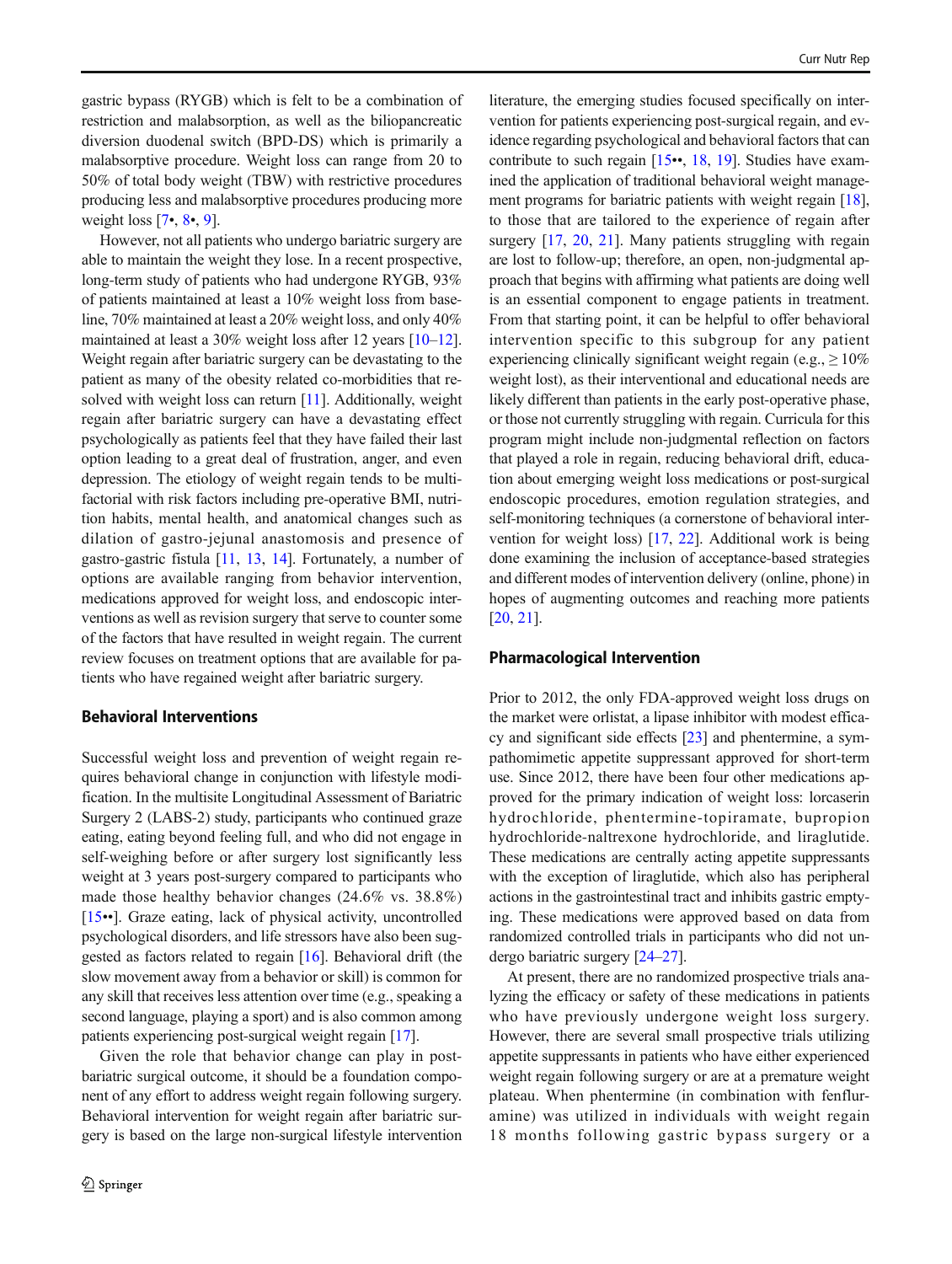gastric bypass (RYGB) which is felt to be a combination of restriction and malabsorption, as well as the biliopancreatic diversion duodenal switch (BPD-DS) which is primarily a malabsorptive procedure. Weight loss can range from 20 to 50% of total body weight (TBW) with restrictive procedures producing less and malabsorptive procedures producing more weight loss  $[7, 8, 9]$  $[7, 8, 9]$  $[7, 8, 9]$  $[7, 8, 9]$  $[7, 8, 9]$  $[7, 8, 9]$  $[7, 8, 9]$ .

However, not all patients who undergo bariatric surgery are able to maintain the weight they lose. In a recent prospective, long-term study of patients who had undergone RYGB, 93% of patients maintained at least a 10% weight loss from baseline, 70% maintained at least a 20% weight loss, and only 40% maintained at least a 30% weight loss after 12 years [\[10](#page-4-0)–[12\]](#page-4-0). Weight regain after bariatric surgery can be devastating to the patient as many of the obesity related co-morbidities that re-solved with weight loss can return [\[11\]](#page-4-0). Additionally, weight regain after bariatric surgery can have a devastating effect psychologically as patients feel that they have failed their last option leading to a great deal of frustration, anger, and even depression. The etiology of weight regain tends to be multifactorial with risk factors including pre-operative BMI, nutrition habits, mental health, and anatomical changes such as dilation of gastro-jejunal anastomosis and presence of gastro-gastric fistula [\[11,](#page-4-0) [13,](#page-4-0) [14\]](#page-4-0). Fortunately, a number of options are available ranging from behavior intervention, medications approved for weight loss, and endoscopic interventions as well as revision surgery that serve to counter some of the factors that have resulted in weight regain. The current review focuses on treatment options that are available for patients who have regained weight after bariatric surgery.

### Behavioral Interventions

Successful weight loss and prevention of weight regain requires behavioral change in conjunction with lifestyle modification. In the multisite Longitudinal Assessment of Bariatric Surgery 2 (LABS-2) study, participants who continued graze eating, eating beyond feeling full, and who did not engage in self-weighing before or after surgery lost significantly less weight at 3 years post-surgery compared to participants who made those healthy behavior changes (24.6% vs. 38.8%) [\[15](#page-4-0)••]. Graze eating, lack of physical activity, uncontrolled psychological disorders, and life stressors have also been suggested as factors related to regain [\[16](#page-4-0)]. Behavioral drift (the slow movement away from a behavior or skill) is common for any skill that receives less attention over time (e.g., speaking a second language, playing a sport) and is also common among patients experiencing post-surgical weight regain [\[17](#page-4-0)].

Given the role that behavior change can play in postbariatric surgical outcome, it should be a foundation component of any effort to address weight regain following surgery. Behavioral intervention for weight regain after bariatric surgery is based on the large non-surgical lifestyle intervention

literature, the emerging studies focused specifically on intervention for patients experiencing post-surgical regain, and evidence regarding psychological and behavioral factors that can contribute to such regain [[15](#page-4-0)••, [18,](#page-4-0) [19\]](#page-4-0). Studies have examined the application of traditional behavioral weight manage-ment programs for bariatric patients with weight regain [[18\]](#page-4-0), to those that are tailored to the experience of regain after surgery [\[17](#page-4-0), [20](#page-4-0), [21\]](#page-4-0). Many patients struggling with regain are lost to follow-up; therefore, an open, non-judgmental approach that begins with affirming what patients are doing well is an essential component to engage patients in treatment. From that starting point, it can be helpful to offer behavioral intervention specific to this subgroup for any patient experiencing clinically significant weight regain (e.g.,  $\geq 10\%$ ) weight lost), as their interventional and educational needs are likely different than patients in the early post-operative phase, or those not currently struggling with regain. Curricula for this program might include non-judgmental reflection on factors that played a role in regain, reducing behavioral drift, education about emerging weight loss medications or post-surgical endoscopic procedures, emotion regulation strategies, and self-monitoring techniques (a cornerstone of behavioral intervention for weight loss) [[17,](#page-4-0) [22](#page-4-0)]. Additional work is being done examining the inclusion of acceptance-based strategies and different modes of intervention delivery (online, phone) in hopes of augmenting outcomes and reaching more patients [\[20](#page-4-0), [21\]](#page-4-0).

#### Pharmacological Intervention

Prior to 2012, the only FDA-approved weight loss drugs on the market were orlistat, a lipase inhibitor with modest efficacy and significant side effects [\[23\]](#page-4-0) and phentermine, a sympathomimetic appetite suppressant approved for short-term use. Since 2012, there have been four other medications approved for the primary indication of weight loss: lorcaserin hydrochloride, phentermine-topiramate, bupropion hydrochloride-naltrexone hydrochloride, and liraglutide. These medications are centrally acting appetite suppressants with the exception of liraglutide, which also has peripheral actions in the gastrointestinal tract and inhibits gastric emptying. These medications were approved based on data from randomized controlled trials in participants who did not undergo bariatric surgery [[24](#page-4-0)–[27](#page-4-0)].

At present, there are no randomized prospective trials analyzing the efficacy or safety of these medications in patients who have previously undergone weight loss surgery. However, there are several small prospective trials utilizing appetite suppressants in patients who have either experienced weight regain following surgery or are at a premature weight plateau. When phentermine (in combination with fenfluramine) was utilized in individuals with weight regain 18 months following gastric bypass surgery or a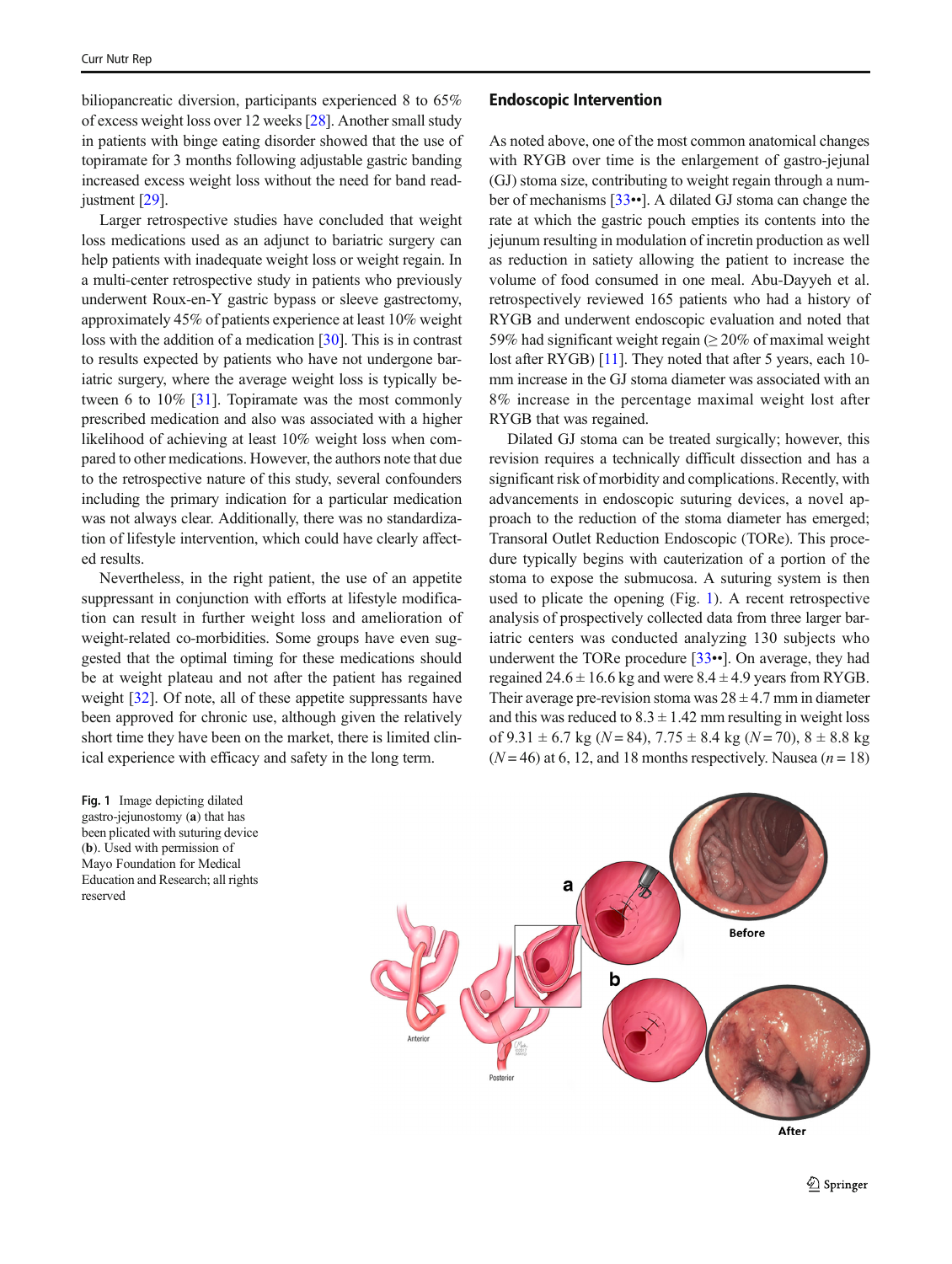biliopancreatic diversion, participants experienced 8 to 65% of excess weight loss over 12 weeks [\[28\]](#page-4-0). Another small study in patients with binge eating disorder showed that the use of topiramate for 3 months following adjustable gastric banding increased excess weight loss without the need for band readjustment [\[29\]](#page-4-0).

Larger retrospective studies have concluded that weight loss medications used as an adjunct to bariatric surgery can help patients with inadequate weight loss or weight regain. In a multi-center retrospective study in patients who previously underwent Roux-en-Y gastric bypass or sleeve gastrectomy, approximately 45% of patients experience at least 10% weight loss with the addition of a medication [\[30](#page-4-0)]. This is in contrast to results expected by patients who have not undergone bariatric surgery, where the average weight loss is typically between 6 to 10% [[31\]](#page-4-0). Topiramate was the most commonly prescribed medication and also was associated with a higher likelihood of achieving at least 10% weight loss when compared to other medications. However, the authors note that due to the retrospective nature of this study, several confounders including the primary indication for a particular medication was not always clear. Additionally, there was no standardization of lifestyle intervention, which could have clearly affected results.

Nevertheless, in the right patient, the use of an appetite suppressant in conjunction with efforts at lifestyle modification can result in further weight loss and amelioration of weight-related co-morbidities. Some groups have even suggested that the optimal timing for these medications should be at weight plateau and not after the patient has regained weight [[32](#page-5-0)]. Of note, all of these appetite suppressants have been approved for chronic use, although given the relatively short time they have been on the market, there is limited clinical experience with efficacy and safety in the long term.

Fig. 1 Image depicting dilated gastro-jejunostomy (a) that has been plicated with suturing device (b). Used with permission of Mayo Foundation for Medical Education and Research; all rights

reserved

#### Endoscopic Intervention

As noted above, one of the most common anatomical changes with RYGB over time is the enlargement of gastro-jejunal (GJ) stoma size, contributing to weight regain through a number of mechanisms [\[33](#page-5-0)••]. A dilated GJ stoma can change the rate at which the gastric pouch empties its contents into the jejunum resulting in modulation of incretin production as well as reduction in satiety allowing the patient to increase the volume of food consumed in one meal. Abu-Dayyeh et al. retrospectively reviewed 165 patients who had a history of RYGB and underwent endoscopic evaluation and noted that 59% had significant weight regain ( $\geq$  20% of maximal weight lost after RYGB) [[11](#page-4-0)]. They noted that after 5 years, each 10mm increase in the GJ stoma diameter was associated with an 8% increase in the percentage maximal weight lost after RYGB that was regained.

Dilated GJ stoma can be treated surgically; however, this revision requires a technically difficult dissection and has a significant risk of morbidity and complications. Recently, with advancements in endoscopic suturing devices, a novel approach to the reduction of the stoma diameter has emerged; Transoral Outlet Reduction Endoscopic (TORe). This procedure typically begins with cauterization of a portion of the stoma to expose the submucosa. A suturing system is then used to plicate the opening (Fig. 1). A recent retrospective analysis of prospectively collected data from three larger bariatric centers was conducted analyzing 130 subjects who underwent the TORe procedure [[33](#page-5-0)••]. On average, they had regained  $24.6 \pm 16.6$  kg and were  $8.4 \pm 4.9$  years from RYGB. Their average pre-revision stoma was  $28 \pm 4.7$  mm in diameter and this was reduced to  $8.3 \pm 1.42$  mm resulting in weight loss of  $9.31 \pm 6.7$  kg (N = 84),  $7.75 \pm 8.4$  kg (N = 70),  $8 \pm 8.8$  kg  $(N = 46)$  at 6, 12, and 18 months respectively. Nausea  $(n = 18)$ 



After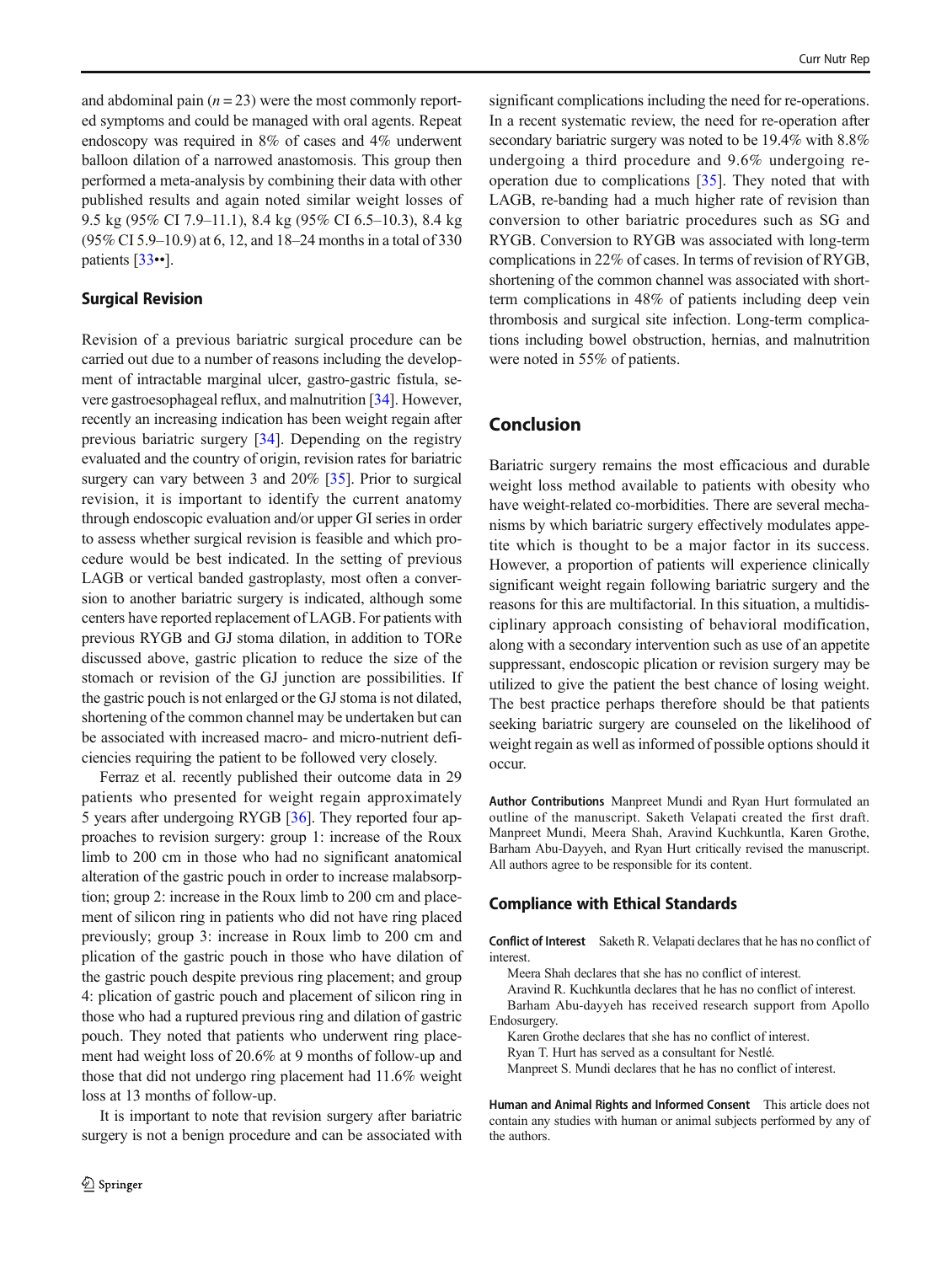and abdominal pain  $(n = 23)$  were the most commonly reported symptoms and could be managed with oral agents. Repeat endoscopy was required in 8% of cases and 4% underwent balloon dilation of a narrowed anastomosis. This group then performed a meta-analysis by combining their data with other published results and again noted similar weight losses of 9.5 kg (95% CI 7.9–11.1), 8.4 kg (95% CI 6.5–10.3), 8.4 kg (95% CI 5.9–10.9) at 6, 12, and 18–24 months in a total of 330 patients [[33](#page-5-0)••].

#### Surgical Revision

Revision of a previous bariatric surgical procedure can be carried out due to a number of reasons including the development of intractable marginal ulcer, gastro-gastric fistula, severe gastroesophageal reflux, and malnutrition [\[34\]](#page-5-0). However, recently an increasing indication has been weight regain after previous bariatric surgery [\[34](#page-5-0)]. Depending on the registry evaluated and the country of origin, revision rates for bariatric surgery can vary between 3 and 20% [[35](#page-5-0)]. Prior to surgical revision, it is important to identify the current anatomy through endoscopic evaluation and/or upper GI series in order to assess whether surgical revision is feasible and which procedure would be best indicated. In the setting of previous LAGB or vertical banded gastroplasty, most often a conversion to another bariatric surgery is indicated, although some centers have reported replacement of LAGB. For patients with previous RYGB and GJ stoma dilation, in addition to TORe discussed above, gastric plication to reduce the size of the stomach or revision of the GJ junction are possibilities. If the gastric pouch is not enlarged or the GJ stoma is not dilated, shortening of the common channel may be undertaken but can be associated with increased macro- and micro-nutrient deficiencies requiring the patient to be followed very closely.

Ferraz et al. recently published their outcome data in 29 patients who presented for weight regain approximately 5 years after undergoing RYGB [\[36\]](#page-5-0). They reported four approaches to revision surgery: group 1: increase of the Roux limb to 200 cm in those who had no significant anatomical alteration of the gastric pouch in order to increase malabsorption; group 2: increase in the Roux limb to 200 cm and placement of silicon ring in patients who did not have ring placed previously; group 3: increase in Roux limb to 200 cm and plication of the gastric pouch in those who have dilation of the gastric pouch despite previous ring placement; and group 4: plication of gastric pouch and placement of silicon ring in those who had a ruptured previous ring and dilation of gastric pouch. They noted that patients who underwent ring placement had weight loss of 20.6% at 9 months of follow-up and those that did not undergo ring placement had 11.6% weight loss at 13 months of follow-up.

It is important to note that revision surgery after bariatric surgery is not a benign procedure and can be associated with

significant complications including the need for re-operations. In a recent systematic review, the need for re-operation after secondary bariatric surgery was noted to be 19.4% with 8.8% undergoing a third procedure and 9.6% undergoing reoperation due to complications [[35\]](#page-5-0). They noted that with LAGB, re-banding had a much higher rate of revision than conversion to other bariatric procedures such as SG and RYGB. Conversion to RYGB was associated with long-term complications in 22% of cases. In terms of revision of RYGB, shortening of the common channel was associated with shortterm complications in 48% of patients including deep vein thrombosis and surgical site infection. Long-term complications including bowel obstruction, hernias, and malnutrition were noted in 55% of patients.

## Conclusion

Bariatric surgery remains the most efficacious and durable weight loss method available to patients with obesity who have weight-related co-morbidities. There are several mechanisms by which bariatric surgery effectively modulates appetite which is thought to be a major factor in its success. However, a proportion of patients will experience clinically significant weight regain following bariatric surgery and the reasons for this are multifactorial. In this situation, a multidisciplinary approach consisting of behavioral modification, along with a secondary intervention such as use of an appetite suppressant, endoscopic plication or revision surgery may be utilized to give the patient the best chance of losing weight. The best practice perhaps therefore should be that patients seeking bariatric surgery are counseled on the likelihood of weight regain as well as informed of possible options should it occur.

Author Contributions Manpreet Mundi and Ryan Hurt formulated an outline of the manuscript. Saketh Velapati created the first draft. Manpreet Mundi, Meera Shah, Aravind Kuchkuntla, Karen Grothe, Barham Abu-Dayyeh, and Ryan Hurt critically revised the manuscript. All authors agree to be responsible for its content.

#### Compliance with Ethical Standards

Conflict of Interest Saketh R. Velapati declares that he has no conflict of interest.

Meera Shah declares that she has no conflict of interest.

Aravind R. Kuchkuntla declares that he has no conflict of interest.

Barham Abu-dayyeh has received research support from Apollo Endosurgery.

Karen Grothe declares that she has no conflict of interest.

Ryan T. Hurt has served as a consultant for Nestlé.

Manpreet S. Mundi declares that he has no conflict of interest.

Human and Animal Rights and Informed Consent This article does not contain any studies with human or animal subjects performed by any of the authors.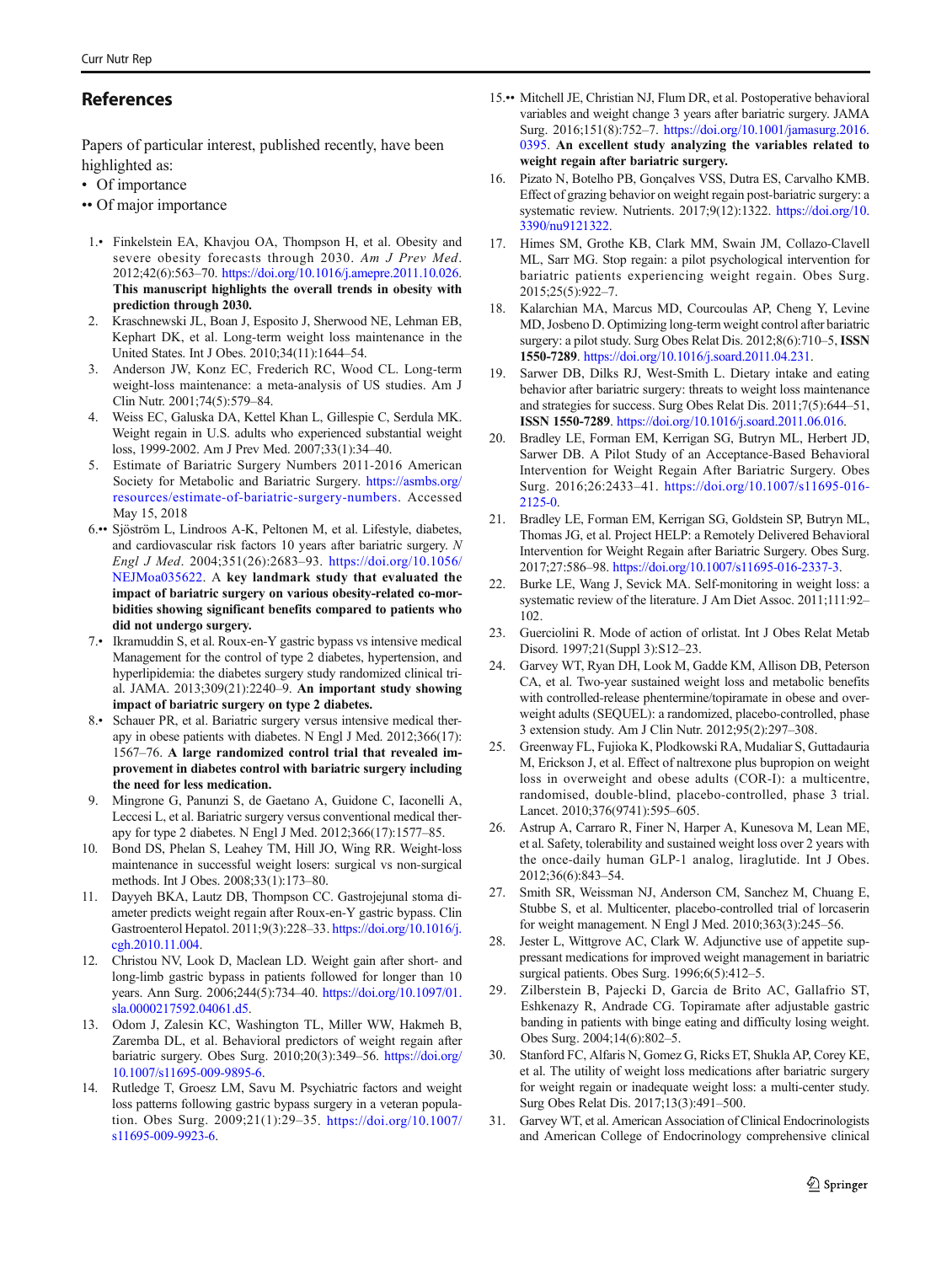## <span id="page-4-0"></span>References

Papers of particular interest, published recently, have been highlighted as:

- Of importance
- •• Of major importance
- 1.• Finkelstein EA, Khavjou OA, Thompson H, et al. Obesity and severe obesity forecasts through 2030. Am J Prev Med. 2012;42(6):563–70. <https://doi.org/10.1016/j.amepre.2011.10.026>. This manuscript highlights the overall trends in obesity with prediction through 2030.
- 2. Kraschnewski JL, Boan J, Esposito J, Sherwood NE, Lehman EB, Kephart DK, et al. Long-term weight loss maintenance in the United States. Int J Obes. 2010;34(11):1644–54.
- 3. Anderson JW, Konz EC, Frederich RC, Wood CL. Long-term weight-loss maintenance: a meta-analysis of US studies. Am J Clin Nutr. 2001;74(5):579–84.
- 4. Weiss EC, Galuska DA, Kettel Khan L, Gillespie C, Serdula MK. Weight regain in U.S. adults who experienced substantial weight loss, 1999-2002. Am J Prev Med. 2007;33(1):34–40.
- 5. Estimate of Bariatric Surgery Numbers 2011-2016 American Society for Metabolic and Bariatric Surgery. [https://asmbs.org/](https://asmbs.org/resources/estimate-of-bariatric-surgery-numbers) [resources/estimate-of-bariatric-surgery-numbers.](https://asmbs.org/resources/estimate-of-bariatric-surgery-numbers) Accessed May 15, 2018
- 6.•• Sjöström L, Lindroos A-K, Peltonen M, et al. Lifestyle, diabetes, and cardiovascular risk factors 10 years after bariatric surgery. N Engl J Med. 2004;351(26):2683–93. [https://doi.org/10.1056/](https://doi.org/10.1056/NEJMoa035622) [NEJMoa035622.](https://doi.org/10.1056/NEJMoa035622) A key landmark study that evaluated the impact of bariatric surgery on various obesity-related co-morbidities showing significant benefits compared to patients who did not undergo surgery.
- 7.• Ikramuddin S, et al. Roux-en-Y gastric bypass vs intensive medical Management for the control of type 2 diabetes, hypertension, and hyperlipidemia: the diabetes surgery study randomized clinical trial. JAMA. 2013;309(21):2240–9. An important study showing impact of bariatric surgery on type 2 diabetes.
- 8.• Schauer PR, et al. Bariatric surgery versus intensive medical therapy in obese patients with diabetes. N Engl J Med. 2012;366(17): 1567–76. A large randomized control trial that revealed improvement in diabetes control with bariatric surgery including the need for less medication.
- 9. Mingrone G, Panunzi S, de Gaetano A, Guidone C, Iaconelli A, Leccesi L, et al. Bariatric surgery versus conventional medical therapy for type 2 diabetes. N Engl J Med. 2012;366(17):1577–85.
- 10. Bond DS, Phelan S, Leahey TM, Hill JO, Wing RR. Weight-loss maintenance in successful weight losers: surgical vs non-surgical methods. Int J Obes. 2008;33(1):173–80.
- 11. Dayyeh BKA, Lautz DB, Thompson CC. Gastrojejunal stoma diameter predicts weight regain after Roux-en-Y gastric bypass. Clin Gastroenterol Hepatol. 2011;9(3):228–33. [https://doi.org/10.1016/j.](https://doi.org/10.1016/j.cgh.2010.11.004) [cgh.2010.11.004.](https://doi.org/10.1016/j.cgh.2010.11.004)
- 12. Christou NV, Look D, Maclean LD. Weight gain after short- and long-limb gastric bypass in patients followed for longer than 10 years. Ann Surg. 2006;244(5):734–40. [https://doi.org/10.1097/01.](https://doi.org/10.1097/01.sla.0000217592.04061.d5) [sla.0000217592.04061.d5](https://doi.org/10.1097/01.sla.0000217592.04061.d5).
- 13. Odom J, Zalesin KC, Washington TL, Miller WW, Hakmeh B, Zaremba DL, et al. Behavioral predictors of weight regain after bariatric surgery. Obes Surg. 2010;20(3):349–56. [https://doi.org/](https://doi.org/10.1007/s11695-009-9895-6) [10.1007/s11695-009-9895-6.](https://doi.org/10.1007/s11695-009-9895-6)
- 14. Rutledge T, Groesz LM, Savu M. Psychiatric factors and weight loss patterns following gastric bypass surgery in a veteran population. Obes Surg. 2009;21(1):29–35. [https://doi.org/10.1007/](https://doi.org/10.1007/s11695-009-9923-6) [s11695-009-9923-6.](https://doi.org/10.1007/s11695-009-9923-6)
- 15.•• Mitchell JE, Christian NJ, Flum DR, et al. Postoperative behavioral variables and weight change 3 years after bariatric surgery. JAMA Surg. 2016;151(8):752–7. [https://doi.org/10.1001/jamasurg.2016.](https://doi.org/10.1001/jamasurg.2016.0395) [0395](https://doi.org/10.1001/jamasurg.2016.0395). An excellent study analyzing the variables related to weight regain after bariatric surgery.
- 16. Pizato N, Botelho PB, Gonçalves VSS, Dutra ES, Carvalho KMB. Effect of grazing behavior on weight regain post-bariatric surgery: a systematic review. Nutrients. 2017;9(12):1322. [https://doi.org/10.](https://doi.org/10.3390/nu9121322) [3390/nu9121322](https://doi.org/10.3390/nu9121322).
- 17. Himes SM, Grothe KB, Clark MM, Swain JM, Collazo-Clavell ML, Sarr MG. Stop regain: a pilot psychological intervention for bariatric patients experiencing weight regain. Obes Surg. 2015;25(5):922–7.
- 18. Kalarchian MA, Marcus MD, Courcoulas AP, Cheng Y, Levine MD, Josbeno D. Optimizing long-term weight control after bariatric surgery: a pilot study. Surg Obes Relat Dis. 2012;8(6):710-5, ISSN 1550-7289. <https://doi.org/10.1016/j.soard.2011.04.231>.
- 19. Sarwer DB, Dilks RJ, West-Smith L. Dietary intake and eating behavior after bariatric surgery: threats to weight loss maintenance and strategies for success. Surg Obes Relat Dis. 2011;7(5):644–51, ISSN 1550-7289. [https://doi.org/10.1016/j.soard.2011.06.016.](https://doi.org/10.1016/j.soard.2011.06.016)
- 20. Bradley LE, Forman EM, Kerrigan SG, Butryn ML, Herbert JD, Sarwer DB. A Pilot Study of an Acceptance-Based Behavioral Intervention for Weight Regain After Bariatric Surgery. Obes Surg. 2016;26:2433–41. [https://doi.org/10.1007/s11695-016-](https://doi.org/10.1007/s11695-016-2125-0) [2125-0](https://doi.org/10.1007/s11695-016-2125-0).
- 21. Bradley LE, Forman EM, Kerrigan SG, Goldstein SP, Butryn ML, Thomas JG, et al. Project HELP: a Remotely Delivered Behavioral Intervention for Weight Regain after Bariatric Surgery. Obes Surg. 2017;27:586–98. <https://doi.org/10.1007/s11695-016-2337-3>.
- 22. Burke LE, Wang J, Sevick MA. Self-monitoring in weight loss: a systematic review of the literature. J Am Diet Assoc. 2011;111:92– 102.
- 23. Guerciolini R. Mode of action of orlistat. Int J Obes Relat Metab Disord. 1997;21(Suppl 3):S12–23.
- 24. Garvey WT, Ryan DH, Look M, Gadde KM, Allison DB, Peterson CA, et al. Two-year sustained weight loss and metabolic benefits with controlled-release phentermine/topiramate in obese and overweight adults (SEQUEL): a randomized, placebo-controlled, phase 3 extension study. Am J Clin Nutr. 2012;95(2):297–308.
- 25. Greenway FL, Fujioka K, Plodkowski RA, Mudaliar S, Guttadauria M, Erickson J, et al. Effect of naltrexone plus bupropion on weight loss in overweight and obese adults (COR-I): a multicentre, randomised, double-blind, placebo-controlled, phase 3 trial. Lancet. 2010;376(9741):595–605.
- 26. Astrup A, Carraro R, Finer N, Harper A, Kunesova M, Lean ME, et al. Safety, tolerability and sustained weight loss over 2 years with the once-daily human GLP-1 analog, liraglutide. Int J Obes. 2012;36(6):843–54.
- 27. Smith SR, Weissman NJ, Anderson CM, Sanchez M, Chuang E, Stubbe S, et al. Multicenter, placebo-controlled trial of lorcaserin for weight management. N Engl J Med. 2010;363(3):245–56.
- 28. Jester L, Wittgrove AC, Clark W. Adjunctive use of appetite suppressant medications for improved weight management in bariatric surgical patients. Obes Surg. 1996;6(5):412–5.
- 29. Zilberstein B, Pajecki D, Garcia de Brito AC, Gallafrio ST, Eshkenazy R, Andrade CG. Topiramate after adjustable gastric banding in patients with binge eating and difficulty losing weight. Obes Surg. 2004;14(6):802–5.
- 30. Stanford FC, Alfaris N, Gomez G, Ricks ET, Shukla AP, Corey KE, et al. The utility of weight loss medications after bariatric surgery for weight regain or inadequate weight loss: a multi-center study. Surg Obes Relat Dis. 2017;13(3):491–500.
- 31. Garvey WT, et al. American Association of Clinical Endocrinologists and American College of Endocrinology comprehensive clinical